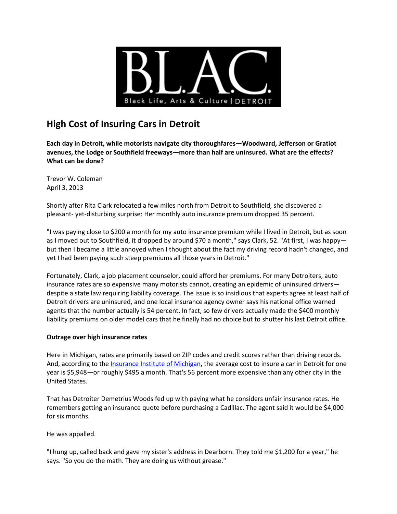

# **High Cost of Insuring Cars in Detroit**

**Each day in Detroit, while motorists navigate city thoroughfares—Woodward, Jefferson or Gratiot avenues, the Lodge or Southfield freeways—more than half are uninsured. What are the effects? What can be done?**

Trevor W. Coleman April 3, 2013

Shortly after Rita Clark relocated a few miles north from Detroit to Southfield, she discovered a pleasant- yet-disturbing surprise: Her monthly auto insurance premium dropped 35 percent.

"I was paying close to \$200 a month for my auto insurance premium while I lived in Detroit, but as soon as I moved out to Southfield, it dropped by around \$70 a month," says Clark, 52. "At first, I was happybut then I became a little annoyed when I thought about the fact my driving record hadn't changed, and yet I had been paying such steep premiums all those years in Detroit."

Fortunately, Clark, a job placement counselor, could afford her premiums. For many Detroiters, auto insurance rates are so expensive many motorists cannot, creating an epidemic of uninsured drivers despite a state law requiring liability coverage. The issue is so insidious that experts agree at least half of Detroit drivers are uninsured, and one local insurance agency owner says his national office warned agents that the number actually is 54 percent. In fact, so few drivers actually made the \$400 monthly liability premiums on older model cars that he finally had no choice but to shutter his last Detroit office.

## **Outrage over high insurance rates**

Here in Michigan, rates are primarily based on ZIP codes and credit scores rather than driving records. And, according to th[e Insurance Institute of Michigan,](http://www.iiminfo.org/) the average cost to insure a car in Detroit for one year is \$5,948—or roughly \$495 a month. That's 56 percent more expensive than any other city in the United States.

That has Detroiter Demetrius Woods fed up with paying what he considers unfair insurance rates. He remembers getting an insurance quote before purchasing a Cadillac. The agent said it would be \$4,000 for six months.

He was appalled.

"I hung up, called back and gave my sister's address in Dearborn. They told me \$1,200 for a year," he says. "So you do the math. They are doing us without grease."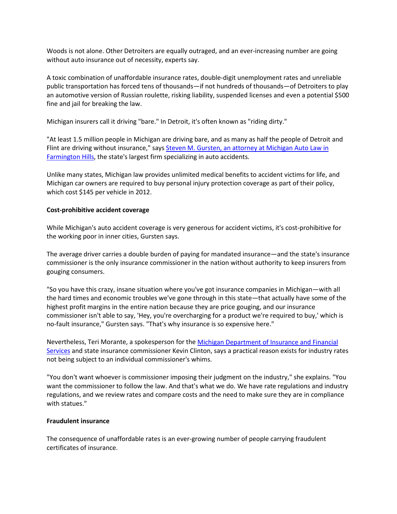Woods is not alone. Other Detroiters are equally outraged, and an ever-increasing number are going without auto insurance out of necessity, experts say.

A toxic combination of unaffordable insurance rates, double-digit unemployment rates and unreliable public transportation has forced tens of thousands—if not hundreds of thousands—of Detroiters to play an automotive version of Russian roulette, risking liability, suspended licenses and even a potential \$500 fine and jail for breaking the law.

Michigan insurers call it driving "bare." In Detroit, it's often known as "riding dirty."

"At least 1.5 million people in Michigan are driving bare, and as many as half the people of Detroit and Flint are driving without insurance," says Steven M. Gursten, an attorney at Michigan Auto Law in [Farmington Hills,](http://www.michiganautolaw.com/firm_profile/attorney-steven-gursten.php) the state's largest firm specializing in auto accidents.

Unlike many states, Michigan law provides unlimited medical benefits to accident victims for life, and Michigan car owners are required to buy personal injury protection coverage as part of their policy, which cost \$145 per vehicle in 2012.

## **Cost-prohibitive accident coverage**

While Michigan's auto accident coverage is very generous for accident victims, it's cost-prohibitive for the working poor in inner cities, Gursten says.

The average driver carries a double burden of paying for mandated insurance—and the state's insurance commissioner is the only insurance commissioner in the nation without authority to keep insurers from gouging consumers.

"So you have this crazy, insane situation where you've got insurance companies in Michigan—with all the hard times and economic troubles we've gone through in this state—that actually have some of the highest profit margins in the entire nation because they are price gouging, and our insurance commissioner isn't able to say, 'Hey, you're overcharging for a product we're required to buy,' which is no-fault insurance," Gursten says. "That's why insurance is so expensive here."

Nevertheless, Teri Morante, a spokesperson for th[e Michigan Department of Insurance and Financial](http://www.michigan.gov/difs)  [Services](http://www.michigan.gov/difs) and state insurance commissioner Kevin Clinton, says a practical reason exists for industry rates not being subject to an individual commissioner's whims.

"You don't want whoever is commissioner imposing their judgment on the industry," she explains. "You want the commissioner to follow the law. And that's what we do. We have rate regulations and industry regulations, and we review rates and compare costs and the need to make sure they are in compliance with statues."

## **Fraudulent insurance**

The consequence of unaffordable rates is an ever-growing number of people carrying fraudulent certificates of insurance.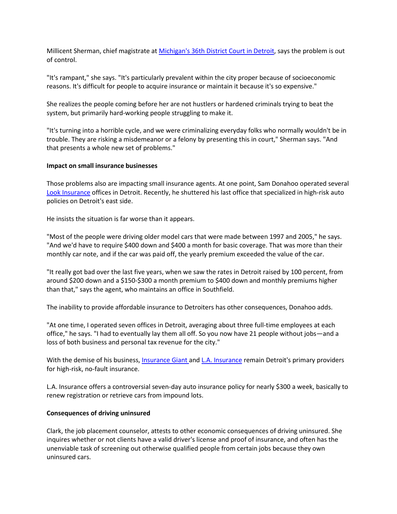Millicent Sherman, chief magistrate at [Michigan's 36th District Court in Detroit,](http://www.36thdistrictcourt.org/judges-msherman.html) says the problem is out of control.

"It's rampant," she says. "It's particularly prevalent within the city proper because of socioeconomic reasons. It's difficult for people to acquire insurance or maintain it because it's so expensive."

She realizes the people coming before her are not hustlers or hardened criminals trying to beat the system, but primarily hard-working people struggling to make it.

"It's turning into a horrible cycle, and we were criminalizing everyday folks who normally wouldn't be in trouble. They are risking a misdemeanor or a felony by presenting this in court," Sherman says. "And that presents a whole new set of problems."

#### **Impact on small insurance businesses**

Those problems also are impacting small insurance agents. At one point, Sam Donahoo operated several [Look Insurance](http://www.look-insurance.com/) offices in Detroit. Recently, he shuttered his last office that specialized in high-risk auto policies on Detroit's east side.

He insists the situation is far worse than it appears.

"Most of the people were driving older model cars that were made between 1997 and 2005," he says. "And we'd have to require \$400 down and \$400 a month for basic coverage. That was more than their monthly car note, and if the car was paid off, the yearly premium exceeded the value of the car.

"It really got bad over the last five years, when we saw the rates in Detroit raised by 100 percent, from around \$200 down and a \$150-\$300 a month premium to \$400 down and monthly premiums higher than that," says the agent, who maintains an office in Southfield.

The inability to provide affordable insurance to Detroiters has other consequences, Donahoo adds.

"At one time, I operated seven offices in Detroit, averaging about three full-time employees at each office," he says. "I had to eventually lay them all off. So you now have 21 people without jobs—and a loss of both business and personal tax revenue for the city."

With the demise of his business[, Insurance Giant a](http://myinsurancegiant.com/)nd [L.A. Insurance](http://www.lainsurance.com/) remain Detroit's primary providers for high-risk, no-fault insurance.

L.A. Insurance offers a controversial seven-day auto insurance policy for nearly \$300 a week, basically to renew registration or retrieve cars from impound lots.

#### **Consequences of driving uninsured**

Clark, the job placement counselor, attests to other economic consequences of driving uninsured. She inquires whether or not clients have a valid driver's license and proof of insurance, and often has the unenviable task of screening out otherwise qualified people from certain jobs because they own uninsured cars.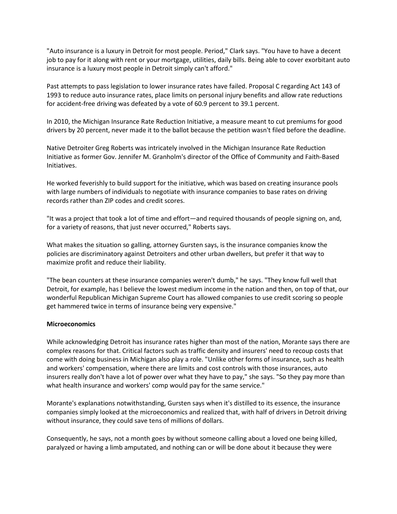"Auto insurance is a luxury in Detroit for most people. Period," Clark says. "You have to have a decent job to pay for it along with rent or your mortgage, utilities, daily bills. Being able to cover exorbitant auto insurance is a luxury most people in Detroit simply can't afford."

Past attempts to pass legislation to lower insurance rates have failed. Proposal C regarding Act 143 of 1993 to reduce auto insurance rates, place limits on personal injury benefits and allow rate reductions for accident-free driving was defeated by a vote of 60.9 percent to 39.1 percent.

In 2010, the Michigan Insurance Rate Reduction Initiative, a measure meant to cut premiums for good drivers by 20 percent, never made it to the ballot because the petition wasn't filed before the deadline.

Native Detroiter Greg Roberts was intricately involved in the Michigan Insurance Rate Reduction Initiative as former Gov. Jennifer M. Granholm's director of the Office of Community and Faith-Based Initiatives.

He worked feverishly to build support for the initiative, which was based on creating insurance pools with large numbers of individuals to negotiate with insurance companies to base rates on driving records rather than ZIP codes and credit scores.

"It was a project that took a lot of time and effort—and required thousands of people signing on, and, for a variety of reasons, that just never occurred," Roberts says.

What makes the situation so galling, attorney Gursten says, is the insurance companies know the policies are discriminatory against Detroiters and other urban dwellers, but prefer it that way to maximize profit and reduce their liability.

"The bean counters at these insurance companies weren't dumb," he says. "They know full well that Detroit, for example, has I believe the lowest medium income in the nation and then, on top of that, our wonderful Republican Michigan Supreme Court has allowed companies to use credit scoring so people get hammered twice in terms of insurance being very expensive."

#### **Microeconomics**

While acknowledging Detroit has insurance rates higher than most of the nation, Morante says there are complex reasons for that. Critical factors such as traffic density and insurers' need to recoup costs that come with doing business in Michigan also play a role. "Unlike other forms of insurance, such as health and workers' compensation, where there are limits and cost controls with those insurances, auto insurers really don't have a lot of power over what they have to pay," she says. "So they pay more than what health insurance and workers' comp would pay for the same service."

Morante's explanations notwithstanding, Gursten says when it's distilled to its essence, the insurance companies simply looked at the microeconomics and realized that, with half of drivers in Detroit driving without insurance, they could save tens of millions of dollars.

Consequently, he says, not a month goes by without someone calling about a loved one being killed, paralyzed or having a limb amputated, and nothing can or will be done about it because they were